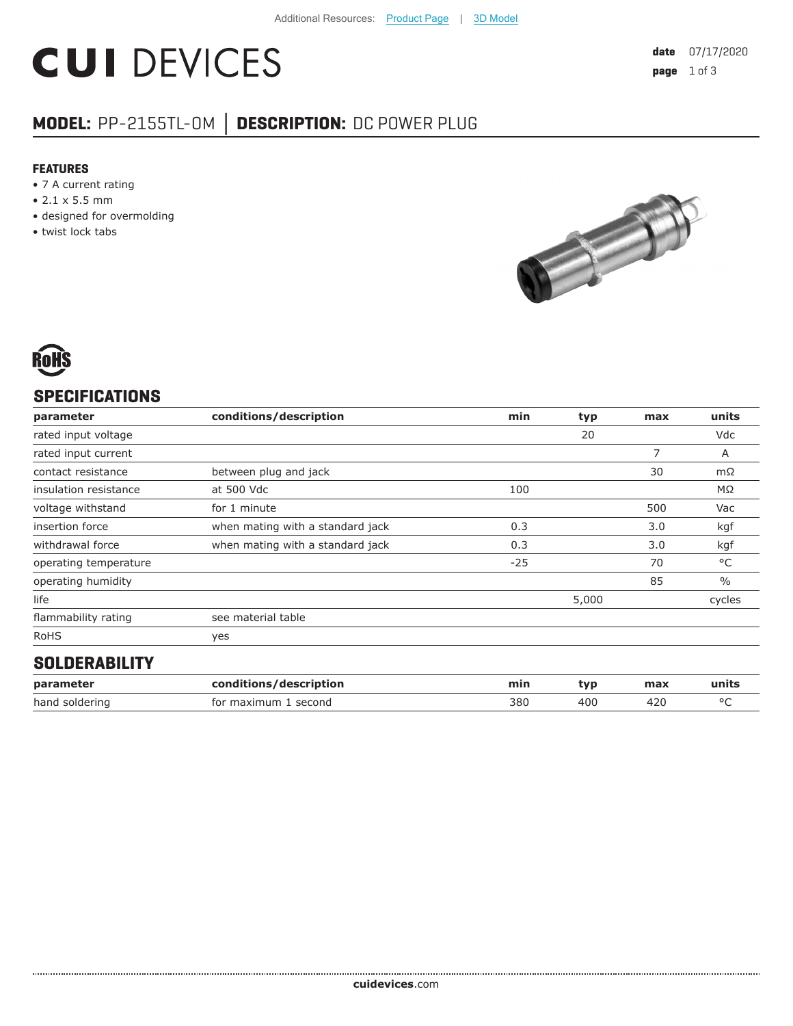# **CUI DEVICES**

# **MODEL:** PP-2155TL-OM **│ DESCRIPTION:** DC POWER PLUG

#### **FEATURES**

- 7 A current rating
- 2.1 x 5.5 mm
- designed for overmolding
- twist lock tabs





## **SPECIFICATIONS**

| parameter             | conditions/description           | min   | typ   | max | units         |
|-----------------------|----------------------------------|-------|-------|-----|---------------|
| rated input voltage   |                                  |       | 20    |     | Vdc           |
| rated input current   |                                  |       |       | 7   | Α             |
| contact resistance    | between plug and jack            |       |       | 30  | $m\Omega$     |
| insulation resistance | at 500 Vdc                       | 100   |       |     | ΜΩ            |
| voltage withstand     | for 1 minute                     |       |       | 500 | Vac           |
| insertion force       | when mating with a standard jack | 0.3   |       | 3.0 | kgf           |
| withdrawal force      | when mating with a standard jack | 0.3   |       | 3.0 | kgf           |
| operating temperature |                                  | $-25$ |       | 70  | °C            |
| operating humidity    |                                  |       |       | 85  | $\frac{0}{0}$ |
| life                  |                                  |       | 5,000 |     | cycles        |
| flammability rating   | see material table               |       |       |     |               |
| <b>RoHS</b>           | yes                              |       |       |     |               |
| OOL BEBABILITY        |                                  |       |       |     |               |

#### **SOLDERABILITY**

| parameter      | conditions/description | mir. | tvr | max | units  |
|----------------|------------------------|------|-----|-----|--------|
| hand soldering | for maximum<br>second  | 380  | 40C | 42u | $\sim$ |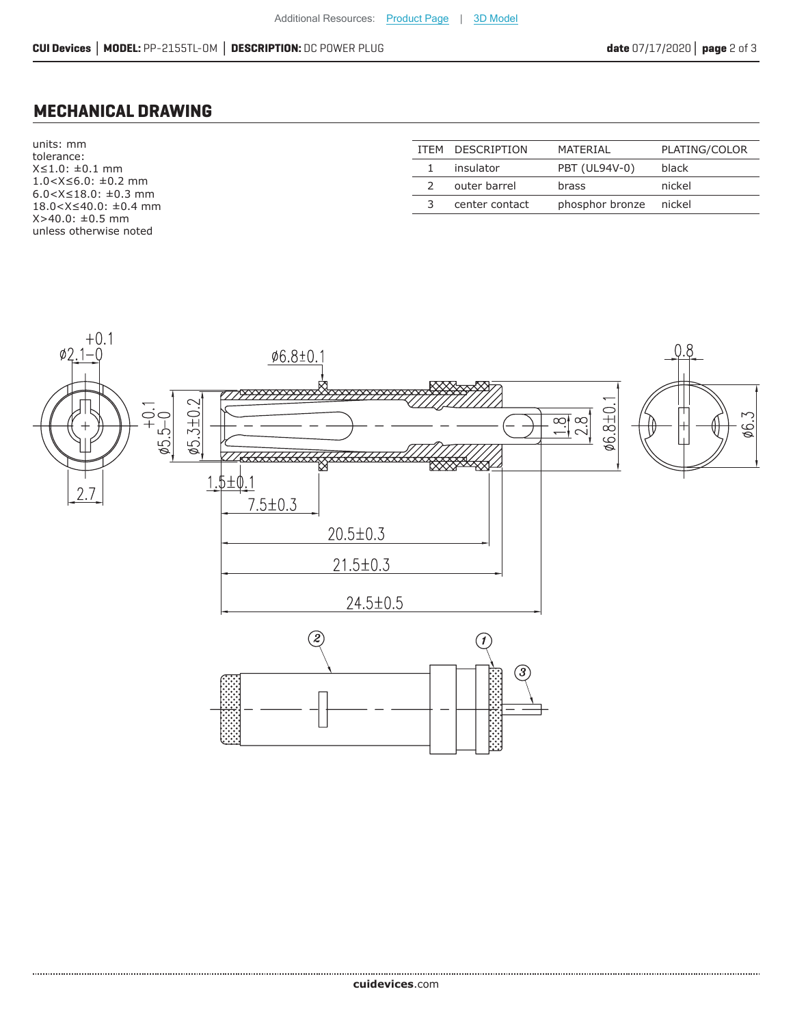### **MECHANICAL DRAWING**

units: mm tolerance: X≤1.0: ±0.1 mm 1.0<X≤6.0: ±0.2 mm 6.0<X≤18.0: ±0.3 mm 18.0<X≤40.0: ±0.4 mm X>40.0: ±0.5 mm unless otherwise noted

|   | ITEM DESCRIPTION | MATERIAL        | PLATING/COLOR |
|---|------------------|-----------------|---------------|
|   | insulator        | PBT (UL94V-0)   | black         |
|   | outer barrel     | brass           | nickel        |
| 3 | center contact   | phosphor bronze | nickel        |